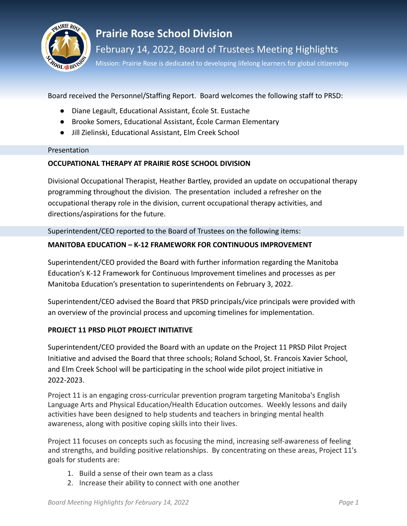

# **Prairie Rose School Division**

February 14, 2022, Board of Trustees Meeting Highlights

Mission: Prairie Rose is dedicated to developing lifelong learners for global citizenship

Board received the Personnel/Staffing Report. Board welcomes the following staff to PRSD:

- Diane Legault, Educational Assistant, École St. Eustache
- Brooke Somers, Educational Assistant, École Carman Elementary
- Jill Zielinski, Educational Assistant, Elm Creek School

## Presentation

# **OCCUPATIONAL THERAPY AT PRAIRIE ROSE SCHOOL DIVISION**

Divisional Occupational Therapist, Heather Bartley, provided an update on occupational therapy programming throughout the division. The presentation included a refresher on the occupational therapy role in the division, current occupational therapy activities, and directions/aspirations for the future.

Superintendent/CEO reported to the Board of Trustees on the following items:

## **MANITOBA EDUCATION – K-12 FRAMEWORK FOR CONTINUOUS IMPROVEMENT**

Superintendent/CEO provided the Board with further information regarding the Manitoba Education's K-12 Framework for Continuous Improvement timelines and processes as per Manitoba Education's presentation to superintendents on February 3, 2022.

Superintendent/CEO advised the Board that PRSD principals/vice principals were provided with an overview of the provincial process and upcoming timelines for implementation.

## **PROJECT 11 PRSD PILOT PROJECT INITIATIVE**

Superintendent/CEO provided the Board with an update on the Project 11 PRSD Pilot Project Initiative and advised the Board that three schools; Roland School, St. Francois Xavier School, and Elm Creek School will be participating in the school wide pilot project initiative in 2022-2023.

Project 11 is an engaging cross-curricular prevention program targeting Manitoba's English Language Arts and Physical Education/Health Education outcomes. Weekly lessons and daily activities have been designed to help students and teachers in bringing mental health awareness, along with positive coping skills into their lives.

Project 11 focuses on concepts such as focusing the mind, increasing self-awareness of feeling and strengths, and building positive relationships. By concentrating on these areas, Project 11's goals for students are:

- 1. Build a sense of their own team as a class
- 2. Increase their ability to connect with one another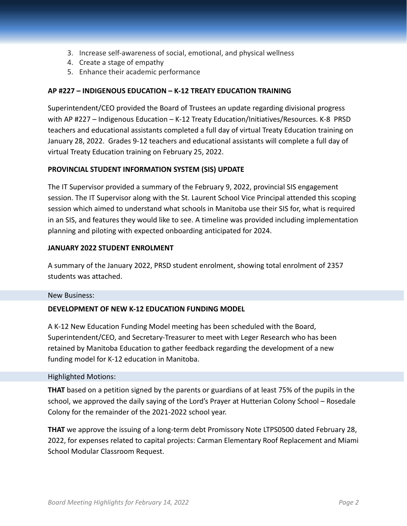- 3. Increase self-awareness of social, emotional, and physical wellness
- 4. Create a stage of empathy
- 5. Enhance their academic performance

## **AP #227 – INDIGENOUS EDUCATION – K-12 TREATY EDUCATION TRAINING**

Superintendent/CEO provided the Board of Trustees an update regarding divisional progress with AP #227 – Indigenous Education – K-12 Treaty Education/Initiatives/Resources. K-8 PRSD teachers and educational assistants completed a full day of virtual Treaty Education training on January 28, 2022. Grades 9-12 teachers and educational assistants will complete a full day of virtual Treaty Education training on February 25, 2022.

## **PROVINCIAL STUDENT INFORMATION SYSTEM (SIS) UPDATE**

The IT Supervisor provided a summary of the February 9, 2022, provincial SIS engagement session. The IT Supervisor along with the St. Laurent School Vice Principal attended this scoping session which aimed to understand what schools in Manitoba use their SIS for, what is required in an SIS, and features they would like to see. A timeline was provided including implementation planning and piloting with expected onboarding anticipated for 2024.

#### **JANUARY 2022 STUDENT ENROLMENT**

A summary of the January 2022, PRSD student enrolment, showing total enrolment of 2357 students was attached.

#### New Business:

## **DEVELOPMENT OF NEW K-12 EDUCATION FUNDING MODEL**

A K-12 New Education Funding Model meeting has been scheduled with the Board, Superintendent/CEO, and Secretary-Treasurer to meet with Leger Research who has been retained by Manitoba Education to gather feedback regarding the development of a new funding model for K-12 education in Manitoba.

#### Highlighted Motions:

**THAT** based on a petition signed by the parents or guardians of at least 75% of the pupils in the school, we approved the daily saying of the Lord's Prayer at Hutterian Colony School – Rosedale Colony for the remainder of the 2021-2022 school year.

**THAT** we approve the issuing of a long-term debt Promissory Note LTPS0500 dated February 28, 2022, for expenses related to capital projects: Carman Elementary Roof Replacement and Miami School Modular Classroom Request.